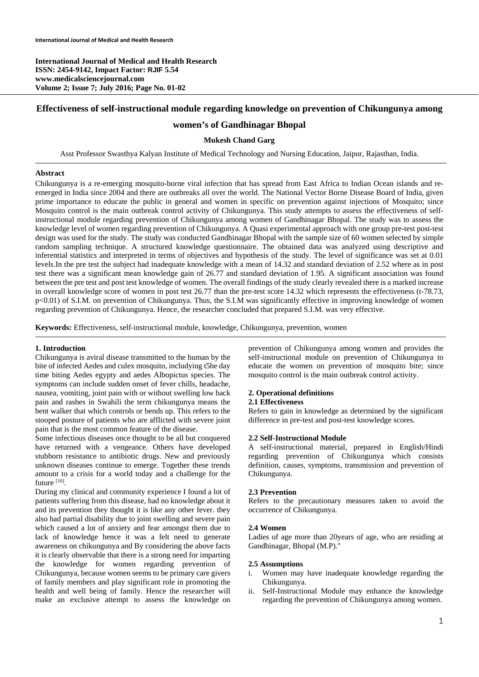**International Journal of Medical and Health Research ISSN: 2454-9142, Impact Factor: RJIF 5.54 www.medicalsciencejournal.com Volume 2; Issue 7; July 2016; Page No. 01-02** 

# **Effectiveness of self-instructional module regarding knowledge on prevention of Chikungunya among**

# **women's of Gandhinagar Bhopal**

## **Mukesh Chand Garg**

Asst Professor Swasthya Kalyan Institute of Medical Technology and Nursing Education, Jaipur, Rajasthan, India.

### **Abstract**

Chikungunya is a re-emerging mosquito-borne viral infection that has spread from East Africa to Indian Ocean islands and reemerged in India since 2004 and there are outbreaks all over the world. The National Vector Borne Disease Board of India, given prime importance to educate the public in general and women in specific on prevention against injections of Mosquito; since Mosquito control is the main outbreak control activity of Chikungunya. This study attempts to assess the effectiveness of selfinstructional module regarding prevention of Chikungunya among women of Gandhinagar Bhopal. The study was to assess the knowledge level of women regarding prevention of Chikungunya. A Quasi experimental approach with one group pre-test post-test design was used for the study. The study was conducted Gandhinagar Bhopal with the sample size of 60 women selected by simple random sampling technique. A structured knowledge questionnaire. The obtained data was analyzed using descriptive and inferential statistics and interpreted in terms of objectives and hypothesis of the study. The level of significance was set at 0.01 levels.In the pre test the subject had inadequate knowledge with a mean of 14.32 and standard deviation of 2.52 where as in post test there was a significant mean knowledge gain of 26.77 and standard deviation of 1.95. A significant association was found between the pre test and post test knowledge of women. The overall findings of the study clearly revealed there is a marked increase in overall knowledge score of women in post test 26.77 than the pre-test score 14.32 which represents the effectiveness (t-78.73, p<0.01) of S.I.M. on prevention of Chikungunya. Thus, the S.I.M was significantly effective in improving knowledge of women regarding prevention of Chikungunya. Hence, the researcher concluded that prepared S.I.M. was very effective.

**Keywords:** Effectiveness, self-instructional module, knowledge, Chikungunya, prevention, women

#### **1. Introduction**

Chikungunya is aviral disease transmitted to the human by the bite of infected Aedes and culex mosquito, includying t5he day time biting Aedes egypty and aedes Albopictus species. The symptoms can include sudden onset of fever chills, headache, nausea, vomiting, joint pain with or without swelling low back pain and rashes in Swahili the term chikungunya means the bent walker that which controls or bends up. This refers to the stooped posture of patients who are afflicted with severe joint pain that is the most common feature of the disease.

Some infectious diseases once thought to be all but conquered have returned with a vengeance. Others have developed stubborn resistance to antibiotic drugs. New and previously unknown diseases continue to emerge. Together these trends amount to a crisis for a world today and a challenge for the future [10].

During my clinical and community experience I found a lot of patients suffering from this disease, had no knowledge about it and its prevention they thought it is like any other fever. they also had partial disability due to joint swelling and severe pain which caused a lot of anxiety and fear amongst them due to lack of knowledge hence it was a felt need to generate awareness on chikungunya and By considering the above facts it is clearly observable that there is a strong need for imparting the knowledge for women regarding prevention of Chikungunya, because women seems to be primary care givers of family members and play significant role in promoting the health and well being of family. Hence the researcher will make an exclusive attempt to assess the knowledge on prevention of Chikungunya among women and provides the self-instructional module on prevention of Chikungunya to educate the women on prevention of mosquito bite; since mosquito control is the main outbreak control activity.

#### **2. Operational definitions**

#### **2.1 Effectiveness**

Refers to gain in knowledge as determined by the significant difference in pre-test and post-test knowledge scores.

## **2.2 Self-Instructional Module**

A self-instructional material, prepared in English/Hindi regarding prevention of Chikungunya which consists definition, causes, symptoms, transmission and prevention of Chikungunya.

#### **2.3 Prevention**

Refers to the precautionary measures taken to avoid the occurrence of Chikungunya.

#### **2.4 Women**

Ladies of age more than 20years of age, who are residing at Gandhinagar, Bhopal (M.P)."

#### **2.5 Assumptions**

- i. Women may have inadequate knowledge regarding the Chikungunya.
- ii. Self-Instructional Module may enhance the knowledge regarding the prevention of Chikungunya among women.